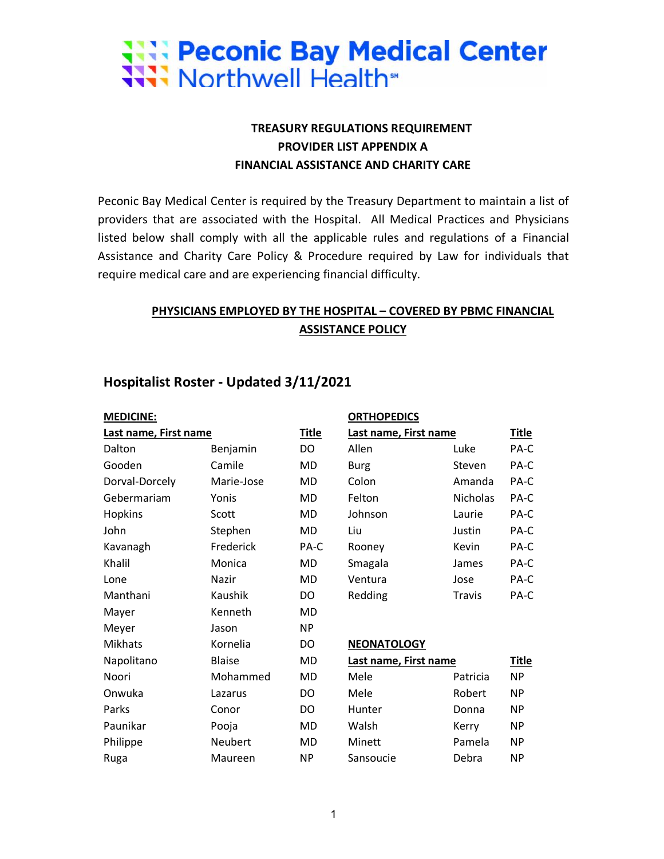

## **TREASURY REGULATIONS REQUIREMENT PROVIDER LIST APPENDIX A FINANCIAL ASSISTANCE AND CHARITY CARE**

Peconic Bay Medical Center is required by the Treasury Department to maintain a list of providers that are associated with the Hospital. All Medical Practices and Physicians listed below shall comply with all the applicable rules and regulations of a Financial Assistance and Charity Care Policy & Procedure required by Law for individuals that require medical care and are experiencing financial difficulty.

### **PHYSICIANS EMPLOYED BY THE HOSPITAL – COVERED BY PBMC FINANCIAL ASSISTANCE POLICY**

#### **Hospitalist Roster - Updated 3/11/2021**

| <b>MEDICINE:</b>      |               |              | <b>ORTHOPEDICS</b>    |                 |              |
|-----------------------|---------------|--------------|-----------------------|-----------------|--------------|
| Last name, First name |               | <b>Title</b> | Last name, First name |                 | <b>Title</b> |
| Dalton                | Benjamin      | DO           | Allen                 | Luke            | PA-C         |
| Gooden                | Camile        | MD           | <b>Burg</b>           | Steven          | PA-C         |
| Dorval-Dorcely        | Marie-Jose    | MD           | Colon                 | Amanda          | PA-C         |
| Gebermariam           | Yonis         | <b>MD</b>    | Felton                | <b>Nicholas</b> | PA-C         |
| Hopkins               | Scott         | <b>MD</b>    | Johnson               | Laurie          | PA-C         |
| John                  | Stephen       | MD           | Liu                   | Justin          | PA-C         |
| Kavanagh              | Frederick     | PA-C         | Rooney                | Kevin           | PA-C         |
| Khalil                | Monica        | MD           | Smagala               | James           | PA-C         |
| Lone                  | Nazir         | <b>MD</b>    | Ventura               | Jose            | PA-C         |
| Manthani              | Kaushik       | DO           | Redding               | <b>Travis</b>   | PA-C         |
| Mayer                 | Kenneth       | <b>MD</b>    |                       |                 |              |
| Meyer                 | Jason         | <b>NP</b>    |                       |                 |              |
| Mikhats               | Kornelia      | DO           | <b>NEONATOLOGY</b>    |                 |              |
| Napolitano            | <b>Blaise</b> | <b>MD</b>    | Last name, First name |                 | <b>Title</b> |
| Noori                 | Mohammed      | <b>MD</b>    | Mele                  | Patricia        | <b>NP</b>    |
| Onwuka                | Lazarus       | DO           | Mele                  | Robert          | <b>NP</b>    |
| Parks                 | Conor         | DO           | Hunter                | Donna           | <b>NP</b>    |
| Paunikar              | Pooja         | <b>MD</b>    | Walsh                 | Kerry           | <b>NP</b>    |
| Philippe              | Neubert       | <b>MD</b>    | Minett                | Pamela          | <b>NP</b>    |
| Ruga                  | Maureen       | <b>NP</b>    | Sansoucie             | Debra           | <b>NP</b>    |